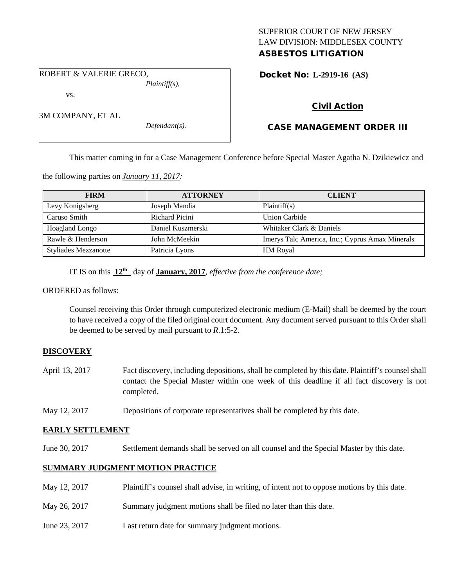# SUPERIOR COURT OF NEW JERSEY LAW DIVISION: MIDDLESEX COUNTY ASBESTOS LITIGATION

ROBERT & VALERIE GRECO,

vs.

3M COMPANY, ET AL

*Plaintiff(s),*

*Defendant(s).*

Docket No: **L-2919-16 (AS)** 

# Civil Action

# CASE MANAGEMENT ORDER III

This matter coming in for a Case Management Conference before Special Master Agatha N. Dzikiewicz and

the following parties on *January 11, 2017:*

| <b>FIRM</b>                 | <b>ATTORNEY</b>   | <b>CLIENT</b>                                   |
|-----------------------------|-------------------|-------------------------------------------------|
| Levy Konigsberg             | Joseph Mandia     | Plaintiff(s)                                    |
| Caruso Smith                | Richard Picini    | Union Carbide                                   |
| <b>Hoagland Longo</b>       | Daniel Kuszmerski | Whitaker Clark & Daniels                        |
| Rawle & Henderson           | John McMeekin     | Imerys Talc America, Inc.; Cyprus Amax Minerals |
| <b>Styliades Mezzanotte</b> | Patricia Lyons    | <b>HM</b> Royal                                 |

IT IS on this **12th** day of **January, 2017**, *effective from the conference date;*

ORDERED as follows:

Counsel receiving this Order through computerized electronic medium (E-Mail) shall be deemed by the court to have received a copy of the filed original court document. Any document served pursuant to this Order shall be deemed to be served by mail pursuant to *R*.1:5-2.

# **DISCOVERY**

- April 13, 2017 Fact discovery, including depositions, shall be completed by this date. Plaintiff's counsel shall contact the Special Master within one week of this deadline if all fact discovery is not completed.
- May 12, 2017 Depositions of corporate representatives shall be completed by this date.

#### **EARLY SETTLEMENT**

June 30, 2017 Settlement demands shall be served on all counsel and the Special Master by this date.

### **SUMMARY JUDGMENT MOTION PRACTICE**

- May 12, 2017 Plaintiff's counsel shall advise, in writing, of intent not to oppose motions by this date.
- May 26, 2017 Summary judgment motions shall be filed no later than this date.
- June 23, 2017 Last return date for summary judgment motions.